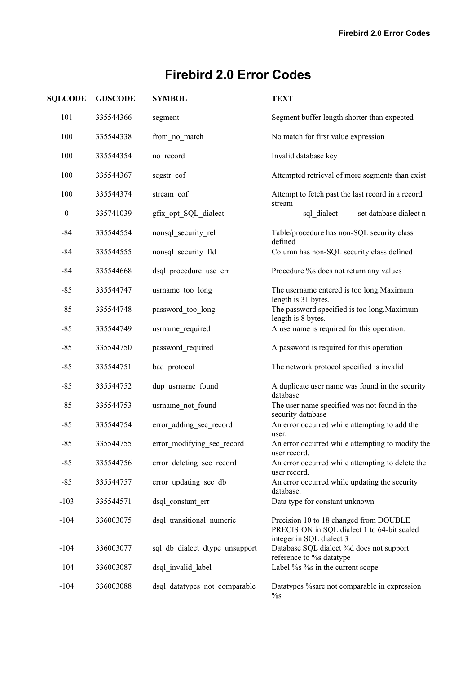| <b>SQLCODE</b>   | <b>GDSCODE</b> | <b>SYMBOL</b>                  | <b>TEXT</b>                                                                                     |
|------------------|----------------|--------------------------------|-------------------------------------------------------------------------------------------------|
| 101              | 335544366      | segment                        | Segment buffer length shorter than expected                                                     |
| 100              | 335544338      | from no match                  | No match for first value expression                                                             |
| 100              | 335544354      | no_record                      | Invalid database key                                                                            |
| 100              | 335544367      | segstr_eof                     | Attempted retrieval of more segments than exist                                                 |
| 100              | 335544374      | stream_eof                     | Attempt to fetch past the last record in a record                                               |
| $\boldsymbol{0}$ | 335741039      | gfix_opt_SQL_dialect           | stream<br>-sql_dialect<br>set database dialect n                                                |
| $-84$            | 335544554      | nonsql_security_rel            | Table/procedure has non-SQL security class<br>defined                                           |
| $-84$            | 335544555      | nonsql_security fld            | Column has non-SQL security class defined                                                       |
| $-84$            | 335544668      | dsql procedure use err         | Procedure % does not return any values                                                          |
| $-85$            | 335544747      | usrname_too_long               | The username entered is too long. Maximum<br>length is 31 bytes.                                |
| $-85$            | 335544748      | password_too_long              | The password specified is too long. Maximum<br>length is 8 bytes.                               |
| $-85$            | 335544749      | usrname_required               | A username is required for this operation.                                                      |
| $-85$            | 335544750      | password_required              | A password is required for this operation                                                       |
| $-85$            | 335544751      | bad protocol                   | The network protocol specified is invalid                                                       |
| $-85$            | 335544752      | dup usrname_found              | A duplicate user name was found in the security<br>database                                     |
| $-85$            | 335544753      | usrname_not_found              | The user name specified was not found in the<br>security database                               |
| $-85$            | 335544754      | error adding sec record        | An error occurred while attempting to add the<br>user.                                          |
| $-85$            | 335544755      | error_modifying_sec_record     | An error occurred while attempting to modify the<br>user record.                                |
| $-85$            | 335544756      | error deleting sec record      | An error occurred while attempting to delete the<br>user record.                                |
| $-85$            | 335544757      | error updating sec db          | An error occurred while updating the security<br>database.                                      |
| $-103$           | 335544571      | dsql constant err              | Data type for constant unknown                                                                  |
| $-104$           | 336003075      | dsql transitional numeric      | Precision 10 to 18 changed from DOUBLE<br>PRECISION in SQL dialect 1 to 64-bit scaled           |
| $-104$           | 336003077      | sql db dialect dtype unsupport | integer in SQL dialect 3<br>Database SQL dialect %d does not support<br>reference to % datatype |
| $-104$           | 336003087      | dsql invalid label             | Label % % % in the current scope                                                                |
| $-104$           | 336003088      | dsql datatypes not comparable  | Datatypes % sare not comparable in expression<br>$\%$ s                                         |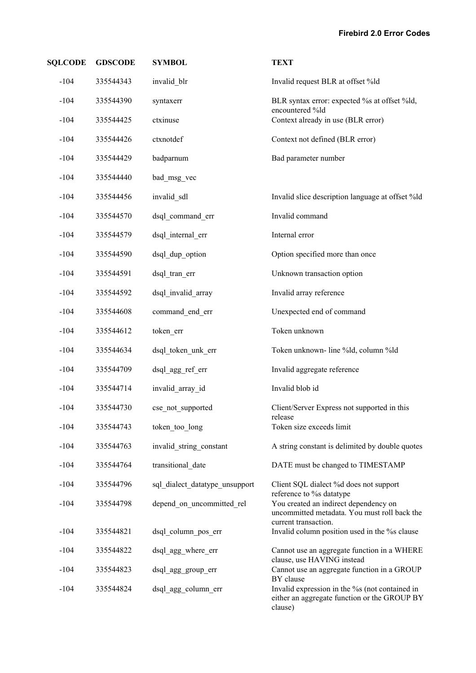| <b>SQLCODE</b> | <b>GDSCODE</b> | <b>SYMBOL</b>                  | <b>TEXT</b>                                                                                                           |
|----------------|----------------|--------------------------------|-----------------------------------------------------------------------------------------------------------------------|
| $-104$         | 335544343      | invalid_blr                    | Invalid request BLR at offset %ld                                                                                     |
| $-104$         | 335544390      | syntaxerr                      | BLR syntax error: expected % at offset %ld,<br>encountered %ld                                                        |
| $-104$         | 335544425      | ctxinuse                       | Context already in use (BLR error)                                                                                    |
| $-104$         | 335544426      | ctxnotdef                      | Context not defined (BLR error)                                                                                       |
| $-104$         | 335544429      | badparnum                      | Bad parameter number                                                                                                  |
| $-104$         | 335544440      | bad msg vec                    |                                                                                                                       |
| $-104$         | 335544456      | invalid_sdl                    | Invalid slice description language at offset %ld                                                                      |
| $-104$         | 335544570      | dsql_command_err               | Invalid command                                                                                                       |
| $-104$         | 335544579      | dsql internal err              | Internal error                                                                                                        |
| $-104$         | 335544590      | dsql dup option                | Option specified more than once                                                                                       |
| $-104$         | 335544591      | dsql tran err                  | Unknown transaction option                                                                                            |
| $-104$         | 335544592      | dsql_invalid_array             | Invalid array reference                                                                                               |
| $-104$         | 335544608      | command end err                | Unexpected end of command                                                                                             |
| $-104$         | 335544612      | token err                      | Token unknown                                                                                                         |
| $-104$         | 335544634      | dsql_token_unk_err             | Token unknown- line %ld, column %ld                                                                                   |
| $-104$         | 335544709      | dsql_agg_ref_err               | Invalid aggregate reference                                                                                           |
| $-104$         | 335544714      | invalid_array_id               | Invalid blob id                                                                                                       |
| $-104$         | 335544730      | cse not supported              | Client/Server Express not supported in this<br>release                                                                |
| $-104$         | 335544743      | token too long                 | Token size exceeds limit                                                                                              |
| $-104$         | 335544763      | invalid_string_constant        | A string constant is delimited by double quotes                                                                       |
| $-104$         | 335544764      | transitional date              | DATE must be changed to TIMESTAMP                                                                                     |
| $-104$         | 335544796      | sql dialect datatype unsupport | Client SQL dialect %d does not support<br>reference to % datatype                                                     |
| $-104$         | 335544798      | depend on uncommitted rel      | You created an indirect dependency on<br>uncommitted metadata. You must roll back the                                 |
| $-104$         | 335544821      | dsql_column_pos_err            | current transaction.<br>Invalid column position used in the % clause                                                  |
| $-104$         | 335544822      | dsql_agg_where_err             | Cannot use an aggregate function in a WHERE                                                                           |
| $-104$         | 335544823      | dsql agg group err             | clause, use HAVING instead<br>Cannot use an aggregate function in a GROUP                                             |
| $-104$         | 335544824      | dsql_agg_column_err            | BY clause<br>Invalid expression in the % (not contained in<br>either an aggregate function or the GROUP BY<br>clause) |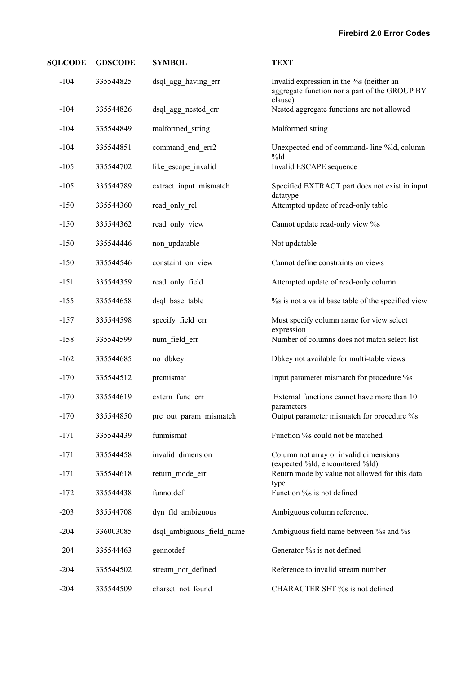| <b>SQLCODE</b> | <b>GDSCODE</b> | <b>SYMBOL</b>             | <b>TEXT</b>                                                                                         |
|----------------|----------------|---------------------------|-----------------------------------------------------------------------------------------------------|
| $-104$         | 335544825      | dsql_agg_having_err       | Invalid expression in the % (neither an<br>aggregate function nor a part of the GROUP BY<br>clause) |
| $-104$         | 335544826      | dsql_agg_nested_err       | Nested aggregate functions are not allowed                                                          |
| $-104$         | 335544849      | malformed string          | Malformed string                                                                                    |
| $-104$         | 335544851      | command_end_err2          | Unexpected end of command-line %ld, column<br>$%$ ld                                                |
| $-105$         | 335544702      | like_escape_invalid       | Invalid ESCAPE sequence                                                                             |
| $-105$         | 335544789      | extract_input_mismatch    | Specified EXTRACT part does not exist in input<br>datatype                                          |
| $-150$         | 335544360      | read_only_rel             | Attempted update of read-only table                                                                 |
| $-150$         | 335544362      | read_only_view            | Cannot update read-only view %s                                                                     |
| $-150$         | 335544446      | non updatable             | Not updatable                                                                                       |
| $-150$         | 335544546      | constaint_on_view         | Cannot define constraints on views                                                                  |
| $-151$         | 335544359      | read only field           | Attempted update of read-only column                                                                |
| $-155$         | 335544658      | dsql base table           | % is not a valid base table of the specified view                                                   |
| $-157$         | 335544598      | specify field err         | Must specify column name for view select<br>expression                                              |
| $-158$         | 335544599      | num field err             | Number of columns does not match select list                                                        |
| $-162$         | 335544685      | no dbkey                  | Dbkey not available for multi-table views                                                           |
| $-170$         | 335544512      | prcmismat                 | Input parameter mismatch for procedure %s                                                           |
| $-170$         | 335544619      | extern func err           | External functions cannot have more than 10<br>parameters                                           |
| $-170$         | 335544850      | prc_out_param_mismatch    | Output parameter mismatch for procedure %s                                                          |
| $-171$         | 335544439      | funmismat                 | Function % could not be matched                                                                     |
| $-171$         | 335544458      | invalid dimension         | Column not array or invalid dimensions<br>(expected %ld, encountered %ld)                           |
| $-171$         | 335544618      | return mode err           | Return mode by value not allowed for this data                                                      |
| $-172$         | 335544438      | funnotdef                 | type<br>Function % is not defined                                                                   |
| $-203$         | 335544708      | dyn fld ambiguous         | Ambiguous column reference.                                                                         |
| $-204$         | 336003085      | dsql ambiguous field name | Ambiguous field name between % and % s                                                              |
| $-204$         | 335544463      | gennotdef                 | Generator % is not defined                                                                          |
| $-204$         | 335544502      | stream not defined        | Reference to invalid stream number                                                                  |
| $-204$         | 335544509      | charset not found         | CHARACTER SET % is not defined                                                                      |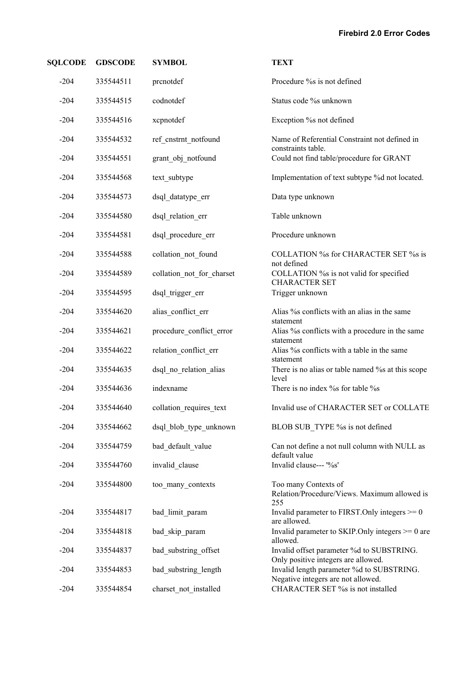| <b>SQLCODE</b> | <b>GDSCODE</b> | <b>SYMBOL</b>             | <b>TEXT</b>                                                                      |
|----------------|----------------|---------------------------|----------------------------------------------------------------------------------|
| $-204$         | 335544511      | prenotdef                 | Procedure % is not defined                                                       |
| $-204$         | 335544515      | codnotdef                 | Status code % unknown                                                            |
| $-204$         | 335544516      | xcpnotdef                 | Exception % not defined                                                          |
| $-204$         | 335544532      | ref_cnstrnt_notfound      | Name of Referential Constraint not defined in                                    |
| $-204$         | 335544551      | grant_obj_notfound        | constraints table.<br>Could not find table/procedure for GRANT                   |
| $-204$         | 335544568      | text subtype              | Implementation of text subtype %d not located.                                   |
| $-204$         | 335544573      | dsql datatype err         | Data type unknown                                                                |
| $-204$         | 335544580      | dsql_relation_err         | Table unknown                                                                    |
| $-204$         | 335544581      | dsql procedure err        | Procedure unknown                                                                |
| $-204$         | 335544588      | collation not found       | COLLATION %s for CHARACTER SET %s is<br>not defined                              |
| $-204$         | 335544589      | collation not for charset | COLLATION % is not valid for specified<br><b>CHARACTER SET</b>                   |
| $-204$         | 335544595      | dsql trigger err          | Trigger unknown                                                                  |
| $-204$         | 335544620      | alias_conflict_err        | Alias % conflicts with an alias in the same<br>statement                         |
| $-204$         | 335544621      | procedure conflict error  | Alias % conflicts with a procedure in the same<br>statement                      |
| $-204$         | 335544622      | relation conflict err     | Alias % conflicts with a table in the same<br>statement                          |
| $-204$         | 335544635      | dsql no relation alias    | There is no alias or table named % at this scope<br>level                        |
| $-204$         | 335544636      | indexname                 | There is no index % for table % s                                                |
| $-204$         | 335544640      | collation requires text   | Invalid use of CHARACTER SET or COLLATE                                          |
| $-204$         | 335544662      | dsql blob type unknown    | BLOB SUB TYPE % is not defined                                                   |
| $-204$         | 335544759      | bad default value         | Can not define a not null column with NULL as<br>default value                   |
| $-204$         | 335544760      | invalid clause            | Invalid clause--- '%s'                                                           |
| $-204$         | 335544800      | too many contexts         | Too many Contexts of<br>Relation/Procedure/Views. Maximum allowed is<br>255      |
| $-204$         | 335544817      | bad limit param           | Invalid parameter to FIRST. Only integers $\geq 0$<br>are allowed.               |
| $-204$         | 335544818      | bad_skip_param            | Invalid parameter to SKIP. Only integers $\geq 0$ are<br>allowed.                |
| $-204$         | 335544837      | bad_substring_offset      | Invalid offset parameter %d to SUBSTRING.<br>Only positive integers are allowed. |
| $-204$         | 335544853      | bad substring length      | Invalid length parameter %d to SUBSTRING.<br>Negative integers are not allowed.  |
| $-204$         | 335544854      | charset not installed     | CHARACTER SET % is not installed                                                 |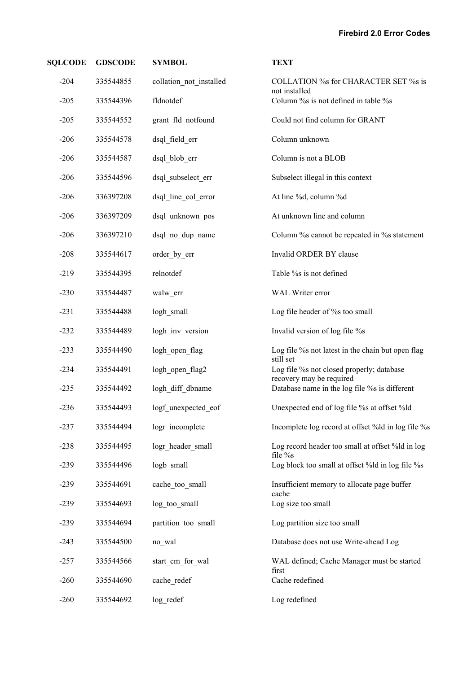| <b>SQLCODE</b> | <b>GDSCODE</b> | <b>SYMBOL</b>           | <b>TEXT</b>                                                              |
|----------------|----------------|-------------------------|--------------------------------------------------------------------------|
| $-204$         | 335544855      | collation not installed | COLLATION %s for CHARACTER SET %s is<br>not installed                    |
| $-205$         | 335544396      | fldnotdef               | Column % is not defined in table % s                                     |
| $-205$         | 335544552      | grant_fld_notfound      | Could not find column for GRANT                                          |
| $-206$         | 335544578      | dsql field err          | Column unknown                                                           |
| $-206$         | 335544587      | dsql_blob_err           | Column is not a BLOB                                                     |
| $-206$         | 335544596      | dsql_subselect_err      | Subselect illegal in this context                                        |
| $-206$         | 336397208      | dsql_line_col_error     | At line %d, column %d                                                    |
| $-206$         | 336397209      | dsql unknown pos        | At unknown line and column                                               |
| $-206$         | 336397210      | dsql no dup name        | Column % cannot be repeated in % statement                               |
| $-208$         | 335544617      | order_by_err            | Invalid ORDER BY clause                                                  |
| $-219$         | 335544395      | relnotdef               | Table % is not defined                                                   |
| $-230$         | 335544487      | walw_err                | WAL Writer error                                                         |
| $-231$         | 335544488      | logh_small              | Log file header of % too small                                           |
| $-232$         | 335544489      | logh_inv_version        | Invalid version of log file %s                                           |
| $-233$         | 335544490      | logh_open_flag          | Log file % not latest in the chain but open flag                         |
| $-234$         | 335544491      | logh_open_flag2         | still set<br>Log file %s not closed properly; database                   |
| $-235$         | 335544492      | logh_diff_dbname        | recovery may be required<br>Database name in the log file % is different |
| $-236$         | 335544493      | logf_unexpected_eof     | Unexpected end of log file % at offset %ld                               |
| $-237$         | 335544494      | logr incomplete         | Incomplete log record at offset %ld in log file %s                       |
| $-238$         | 335544495      | logr header small       | Log record header too small at offset %ld in log<br>file %s              |
| $-239$         | 335544496      | logb small              | Log block too small at offset %ld in log file %s                         |
| $-239$         | 335544691      | cache too small         | Insufficient memory to allocate page buffer<br>cache                     |
| $-239$         | 335544693      | log too small           | Log size too small                                                       |
| $-239$         | 335544694      | partition too small     | Log partition size too small                                             |
| $-243$         | 335544500      | no_wal                  | Database does not use Write-ahead Log                                    |
| $-257$         | 335544566      | start_cm_for_wal        | WAL defined; Cache Manager must be started<br>first                      |
| $-260$         | 335544690      | cache_redef             | Cache redefined                                                          |
| $-260$         | 335544692      | log redef               | Log redefined                                                            |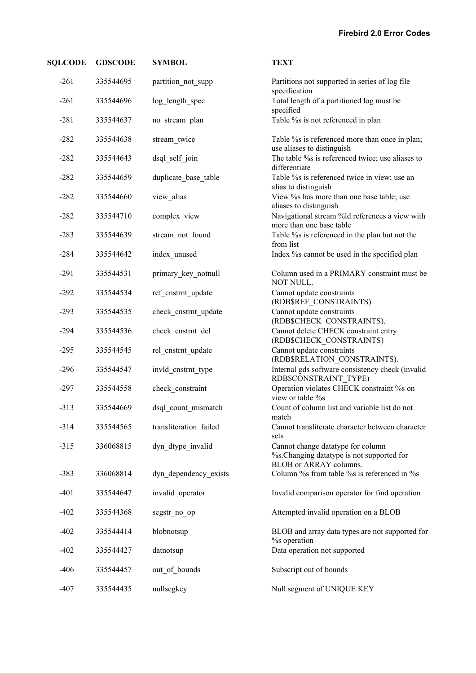| <b>SQLCODE</b> | <b>GDSCODE</b> | <b>SYMBOL</b>          | <b>TEXT</b>                                                                                               |
|----------------|----------------|------------------------|-----------------------------------------------------------------------------------------------------------|
| $-261$         | 335544695      | partition_not_supp     | Partitions not supported in series of log file<br>specification                                           |
| $-261$         | 335544696      | log_length_spec        | Total length of a partitioned log must be<br>specified                                                    |
| $-281$         | 335544637      | no stream plan         | Table % is not referenced in plan                                                                         |
| $-282$         | 335544638      | stream_twice           | Table % is referenced more than once in plan;<br>use aliases to distinguish                               |
| $-282$         | 335544643      | dsql_self_join         | The table % is referenced twice; use aliases to<br>differentiate                                          |
| $-282$         | 335544659      | duplicate_base_table   | Table %s is referenced twice in view; use an<br>alias to distinguish                                      |
| $-282$         | 335544660      | view_alias             | View % has more than one base table; use<br>aliases to distinguish                                        |
| $-282$         | 335544710      | complex_view           | Navigational stream %ld references a view with<br>more than one base table                                |
| $-283$         | 335544639      | stream_not_found       | Table % is referenced in the plan but not the<br>from list                                                |
| $-284$         | 335544642      | index unused           | Index % cannot be used in the specified plan                                                              |
| $-291$         | 335544531      | primary key notnull    | Column used in a PRIMARY constraint must be<br>NOT NULL.                                                  |
| $-292$         | 335544534      | ref cnstrnt update     | Cannot update constraints<br>(RDB\$REF_CONSTRAINTS).                                                      |
| $-293$         | 335544535      | check cnstrnt update   | Cannot update constraints<br>(RDB\$CHECK_CONSTRAINTS).                                                    |
| $-294$         | 335544536      | check_cnstrnt_del      | Cannot delete CHECK constraint entry<br>(RDB\$CHECK_CONSTRAINTS)                                          |
| $-295$         | 335544545      | rel cnstrnt update     | Cannot update constraints<br>(RDB\$RELATION_CONSTRAINTS).                                                 |
| $-296$         | 335544547      | invld_cnstrnt_type     | Internal gds software consistency check (invalid<br>RDB\$CONSTRAINT_TYPE)                                 |
| $-297$         | 335544558      | check_constraint       | Operation violates CHECK constraint % on<br>view or table %s                                              |
| $-313$         | 335544669      | dsql_count_mismatch    | Count of column list and variable list do not<br>match                                                    |
| $-314$         | 335544565      | transliteration failed | Cannot transliterate character between character<br>sets                                                  |
| $-315$         | 336068815      | dyn dtype invalid      | Cannot change datatype for column<br>%s. Changing datatype is not supported for<br>BLOB or ARRAY columns. |
| $-383$         | 336068814      | dyn dependency exists  | Column % from table % is referenced in %                                                                  |
| $-401$         | 335544647      | invalid operator       | Invalid comparison operator for find operation                                                            |
| $-402$         | 335544368      | segstr_no_op           | Attempted invalid operation on a BLOB                                                                     |
| $-402$         | 335544414      | blobnotsup             | BLOB and array data types are not supported for<br>% operation                                            |
| $-402$         | 335544427      | datnotsup              | Data operation not supported                                                                              |
| $-406$         | 335544457      | out of bounds          | Subscript out of bounds                                                                                   |
| $-407$         | 335544435      | nullsegkey             | Null segment of UNIQUE KEY                                                                                |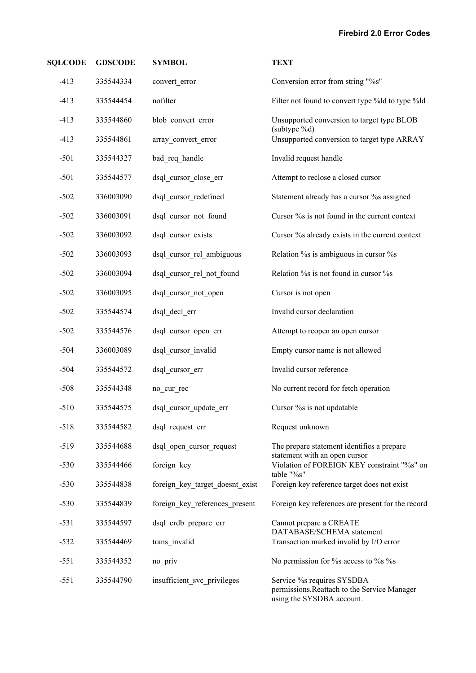| <b>SQLCODE</b> | <b>GDSCODE</b> | <b>SYMBOL</b>                   | <b>TEXT</b>                                                                                            |
|----------------|----------------|---------------------------------|--------------------------------------------------------------------------------------------------------|
| $-413$         | 335544334      | convert_error                   | Conversion error from string "%s"                                                                      |
| $-413$         | 335544454      | nofilter                        | Filter not found to convert type %ld to type %ld                                                       |
| $-413$         | 335544860      | blob_convert_error              | Unsupported conversion to target type BLOB<br>(subtype %d)                                             |
| $-413$         | 335544861      | array convert error             | Unsupported conversion to target type ARRAY                                                            |
| $-501$         | 335544327      | bad_req_handle                  | Invalid request handle                                                                                 |
| $-501$         | 335544577      | dsql_cursor_close_err           | Attempt to reclose a closed cursor                                                                     |
| $-502$         | 336003090      | dsql_cursor_redefined           | Statement already has a cursor % assigned                                                              |
| $-502$         | 336003091      | dsql cursor not found           | Cursor % is not found in the current context                                                           |
| $-502$         | 336003092      | dsql cursor exists              | Cursor % already exists in the current context                                                         |
| $-502$         | 336003093      | dsql cursor rel ambiguous       | Relation % is ambiguous in cursor % s                                                                  |
| $-502$         | 336003094      | dsql cursor rel not found       | Relation % is not found in cursor % s                                                                  |
| $-502$         | 336003095      | dsql cursor not open            | Cursor is not open                                                                                     |
| $-502$         | 335544574      | dsql decl err                   | Invalid cursor declaration                                                                             |
| $-502$         | 335544576      | dsql_cursor_open_err            | Attempt to reopen an open cursor                                                                       |
| $-504$         | 336003089      | dsql cursor invalid             | Empty cursor name is not allowed                                                                       |
| $-504$         | 335544572      | dsql cursor err                 | Invalid cursor reference                                                                               |
| $-508$         | 335544348      | no_cur_rec                      | No current record for fetch operation                                                                  |
| $-510$         | 335544575      | dsql cursor update err          | Cursor % is not updatable                                                                              |
| $-518$         | 335544582      | dsql request err                | Request unknown                                                                                        |
| $-519$         | 335544688      | dsql_open_cursor_request        | The prepare statement identifies a prepare<br>statement with an open cursor                            |
| $-530$         | 335544466      | foreign_key                     | Violation of FOREIGN KEY constraint "%s" on<br>table "%s"                                              |
| $-530$         | 335544838      | foreign key target doesnt exist | Foreign key reference target does not exist                                                            |
| $-530$         | 335544839      | foreign_key_references_present  | Foreign key references are present for the record                                                      |
| $-531$         | 335544597      | dsql_crdb_prepare_err           | Cannot prepare a CREATE                                                                                |
| $-532$         | 335544469      | trans invalid                   | DATABASE/SCHEMA statement<br>Transaction marked invalid by I/O error                                   |
| $-551$         | 335544352      | no priv                         | No permission for % access to % % %                                                                    |
| $-551$         | 335544790      | insufficient svc privileges     | Service % requires SYSDBA<br>permissions. Reattach to the Service Manager<br>using the SYSDBA account. |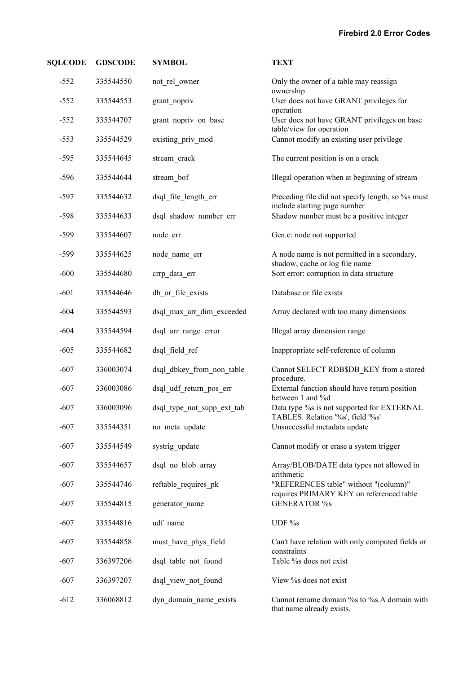| <b>SQLCODE</b> | <b>GDSCODE</b> | <b>SYMBOL</b>              | <b>TEXT</b>                                                                       |
|----------------|----------------|----------------------------|-----------------------------------------------------------------------------------|
| $-552$         | 335544550      | not rel owner              | Only the owner of a table may reassign<br>ownership                               |
| $-552$         | 335544553      | grant_nopriv               | User does not have GRANT privileges for<br>operation                              |
| $-552$         | 335544707      | grant_nopriv_on_base       | User does not have GRANT privileges on base<br>table/view for operation           |
| $-553$         | 335544529      | existing_priv_mod          | Cannot modify an existing user privilege                                          |
| $-595$         | 335544645      | stream_crack               | The current position is on a crack                                                |
| $-596$         | 335544644      | stream_bof                 | Illegal operation when at beginning of stream                                     |
| $-597$         | 335544632      | dsql_file_length_err       | Preceding file did not specify length, so % must<br>include starting page number  |
| $-598$         | 335544633      | dsql_shadow_number_err     | Shadow number must be a positive integer                                          |
| $-599$         | 335544607      | node_err                   | Gen.c: node not supported                                                         |
| $-599$         | 335544625      | node name err              | A node name is not permitted in a secondary,<br>shadow, cache or log file name    |
| $-600$         | 335544680      | crrp_data_err              | Sort error: corruption in data structure                                          |
| $-601$         | 335544646      | db or file exists          | Database or file exists                                                           |
| $-604$         | 335544593      | dsql_max_arr_dim_exceeded  | Array declared with too many dimensions                                           |
| $-604$         | 335544594      | dsql_arr_range_error       | Illegal array dimension range                                                     |
| $-605$         | 335544682      | dsql_field_ref             | Inappropriate self-reference of column                                            |
| $-607$         | 336003074      | dsql_dbkey_from_non_table  | Cannot SELECT RDB\$DB_KEY from a stored<br>procedure.                             |
| $-607$         | 336003086      | dsql_udf_return_pos_err    | External function should have return position<br>between 1 and %d                 |
| $-607$         | 336003096      | dsql_type_not_supp_ext_tab | Data type %s is not supported for EXTERNAL<br>TABLES. Relation '%s', field '%s'   |
| $-607$         | 335544351      | no meta update             | Unsuccessful metadata update                                                      |
| $-607$         | 335544549      | systrig update             | Cannot modify or erase a system trigger                                           |
| $-607$         | 335544657      | dsql no blob array         | Array/BLOB/DATE data types not allowed in<br>arithmetic                           |
| $-607$         | 335544746      | reftable requires pk       | "REFERENCES table" without "(column)"<br>requires PRIMARY KEY on referenced table |
| $-607$         | 335544815      | generator_name             | <b>GENERATOR %s</b>                                                               |
| $-607$         | 335544816      | udf name                   | UDF %s                                                                            |
| $-607$         | 335544858      | must_have_phys_field       | Can't have relation with only computed fields or<br>constraints                   |
| $-607$         | 336397206      | dsql table not found       | Table % does not exist                                                            |
| $-607$         | 336397207      | dsql view not found        | View % does not exist                                                             |
| $-612$         | 336068812      | dyn_domain_name_exists     | Cannot rename domain % to %s.A domain with<br>that name already exists.           |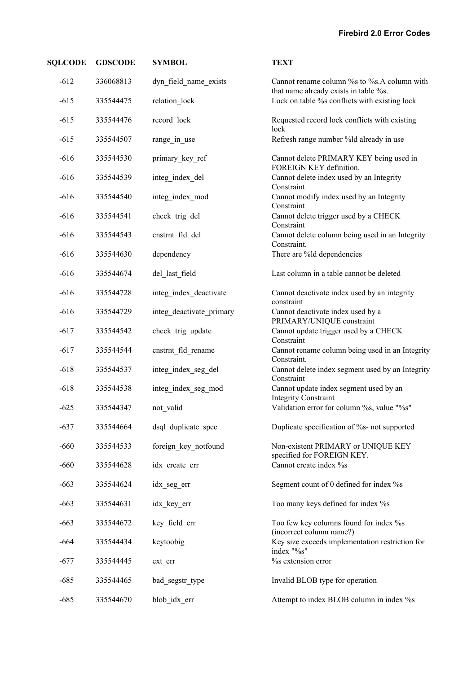| <b>SQLCODE</b> | <b>GDSCODE</b> | <b>SYMBOL</b>            | <b>TEXT</b>                                                                         |
|----------------|----------------|--------------------------|-------------------------------------------------------------------------------------|
| $-612$         | 336068813      | dyn field name exists    | Cannot rename column % to %s.A column with<br>that name already exists in table %s. |
| $-615$         | 335544475      | relation_lock            | Lock on table %s conflicts with existing lock                                       |
| $-615$         | 335544476      | record_lock              | Requested record lock conflicts with existing<br>lock                               |
| $-615$         | 335544507      | range_in_use             | Refresh range number %ld already in use                                             |
| $-616$         | 335544530      | primary_key_ref          | Cannot delete PRIMARY KEY being used in<br>FOREIGN KEY definition.                  |
| $-616$         | 335544539      | integ_index_del          | Cannot delete index used by an Integrity<br>Constraint                              |
| $-616$         | 335544540      | integ_index_mod          | Cannot modify index used by an Integrity<br>Constraint                              |
| $-616$         | 335544541      | check_trig_del           | Cannot delete trigger used by a CHECK<br>Constraint                                 |
| $-616$         | 335544543      | cnstrnt_fld_del          | Cannot delete column being used in an Integrity<br>Constraint.                      |
| $-616$         | 335544630      | dependency               | There are %ld dependencies                                                          |
| $-616$         | 335544674      | del_last_field           | Last column in a table cannot be deleted                                            |
| $-616$         | 335544728      | integ_index_deactivate   | Cannot deactivate index used by an integrity<br>constraint                          |
| $-616$         | 335544729      | integ_deactivate_primary | Cannot deactivate index used by a<br>PRIMARY/UNIQUE constraint                      |
| $-617$         | 335544542      | check_trig_update        | Cannot update trigger used by a CHECK<br>Constraint                                 |
| $-617$         | 335544544      | cnstrnt_fld_rename       | Cannot rename column being used in an Integrity<br>Constraint.                      |
| $-618$         | 335544537      | integ_index_seg_del      | Cannot delete index segment used by an Integrity<br>Constraint                      |
| $-618$         | 335544538      | integ_index_seg_mod      | Cannot update index segment used by an<br><b>Integrity Constraint</b>               |
| $-625$         | 335544347      | not_valid                | Validation error for column %s, value "%s"                                          |
| $-637$         | 335544664      | dsql duplicate spec      | Duplicate specification of %s- not supported                                        |
| $-660$         | 335544533      | foreign key notfound     | Non-existent PRIMARY or UNIQUE KEY<br>specified for FOREIGN KEY.                    |
| $-660$         | 335544628      | idx create err           | Cannot create index %s                                                              |
| $-663$         | 335544624      | idx seg err              | Segment count of 0 defined for index %s                                             |
| $-663$         | 335544631      | idx_key_err              | Too many keys defined for index %s                                                  |
| $-663$         | 335544672      | key field err            | Too few key columns found for index %s<br>(incorrect column name?)                  |
| $-664$         | 335544434      | keytoobig                | Key size exceeds implementation restriction for<br>index "%s"                       |
| $-677$         | 335544445      | ext_err                  | % extension error                                                                   |
| $-685$         | 335544465      | bad_segstr_type          | Invalid BLOB type for operation                                                     |
| $-685$         | 335544670      | blob_idx_err             | Attempt to index BLOB column in index %s                                            |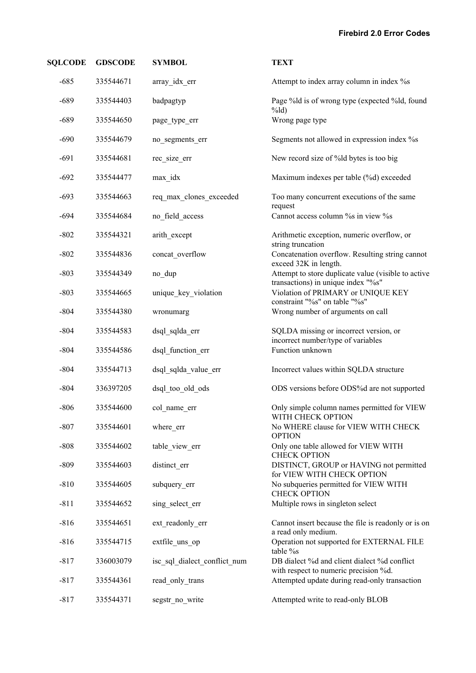| <b>SQLCODE</b> | <b>GDSCODE</b> | <b>SYMBOL</b>                | <b>TEXT</b>                                                                               |
|----------------|----------------|------------------------------|-------------------------------------------------------------------------------------------|
| $-685$         | 335544671      | array_idx_err                | Attempt to index array column in index %s                                                 |
| $-689$         | 335544403      | badpagtyp                    | Page %ld is of wrong type (expected %ld, found<br>$%$ ld)                                 |
| $-689$         | 335544650      | page_type_err                | Wrong page type                                                                           |
| $-690$         | 335544679      | no_segments_err              | Segments not allowed in expression index % s                                              |
| $-691$         | 335544681      | rec size err                 | New record size of %ld bytes is too big                                                   |
| $-692$         | 335544477      | max idx                      | Maximum indexes per table (%d) exceeded                                                   |
| $-693$         | 335544663      | req_max_clones_exceeded      | Too many concurrent executions of the same<br>request                                     |
| $-694$         | 335544684      | no field access              | Cannot access column % in view %                                                          |
| $-802$         | 335544321      | arith except                 | Arithmetic exception, numeric overflow, or<br>string truncation                           |
| $-802$         | 335544836      | concat overflow              | Concatenation overflow. Resulting string cannot<br>exceed 32K in length.                  |
| $-803$         | 335544349      | no_dup                       | Attempt to store duplicate value (visible to active<br>transactions) in unique index "%s" |
| $-803$         | 335544665      | unique key violation         | Violation of PRIMARY or UNIQUE KEY<br>constraint "%s" on table "%s"                       |
| $-804$         | 335544380      | wronumarg                    | Wrong number of arguments on call                                                         |
| $-804$         | 335544583      | dsql_sqlda_err               | SQLDA missing or incorrect version, or<br>incorrect number/type of variables              |
| $-804$         | 335544586      | dsql function err            | Function unknown                                                                          |
| $-804$         | 335544713      | dsql_sqlda_value_err         | Incorrect values within SQLDA structure                                                   |
| $-804$         | 336397205      | dsql_too_old_ods             | ODS versions before ODS%d are not supported                                               |
| $-806$         | 335544600      | col name err                 | Only simple column names permitted for VIEW<br>WITH CHECK OPTION                          |
| $-807$         | 335544601      | where err                    | No WHERE clause for VIEW WITH CHECK<br><b>OPTION</b>                                      |
| $-808$         | 335544602      | table view err               | Only one table allowed for VIEW WITH<br><b>CHECK OPTION</b>                               |
| $-809$         | 335544603      | distinct err                 | DISTINCT, GROUP or HAVING not permitted<br>for VIEW WITH CHECK OPTION                     |
| $-810$         | 335544605      | subquery err                 | No subqueries permitted for VIEW WITH<br><b>CHECK OPTION</b>                              |
| $-811$         | 335544652      | sing select err              | Multiple rows in singleton select                                                         |
| $-816$         | 335544651      | ext readonly err             | Cannot insert because the file is readonly or is on<br>a read only medium.                |
| $-816$         | 335544715      | extfile_uns_op               | Operation not supported for EXTERNAL FILE<br>table %s                                     |
| $-817$         | 336003079      | isc sql dialect conflict num | DB dialect %d and client dialect %d conflict<br>with respect to numeric precision %d.     |
| $-817$         | 335544361      | read only trans              | Attempted update during read-only transaction                                             |
| $-817$         | 335544371      | segstr no write              | Attempted write to read-only BLOB                                                         |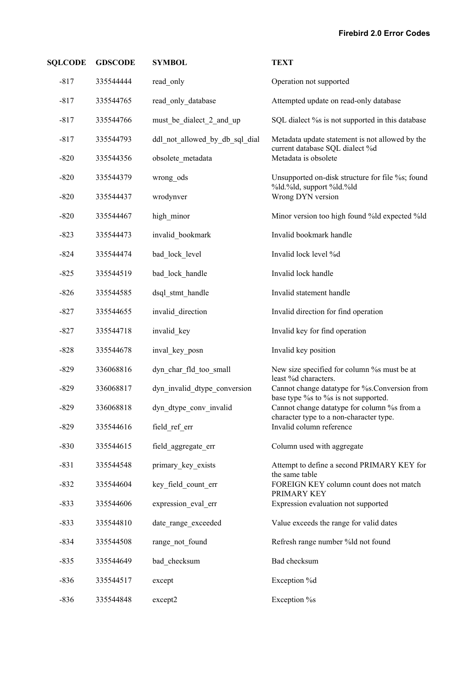| <b>SQLCODE</b> | <b>GDSCODE</b> | <b>SYMBOL</b>                  | <b>TEXT</b>                                                                           |
|----------------|----------------|--------------------------------|---------------------------------------------------------------------------------------|
| $-817$         | 335544444      | read_only                      | Operation not supported                                                               |
| $-817$         | 335544765      | read_only_database             | Attempted update on read-only database                                                |
| $-817$         | 335544766      | must be dialect 2 and up       | SQL dialect % is not supported in this database                                       |
| $-817$         | 335544793      | ddl not allowed by db sql dial | Metadata update statement is not allowed by the                                       |
| $-820$         | 335544356      | obsolete metadata              | current database SQL dialect %d<br>Metadata is obsolete                               |
| $-820$         | 335544379      | wrong ods                      | Unsupported on-disk structure for file %s; found<br>%ld.%ld, support %ld.%ld          |
| $-820$         | 335544437      | wrodynver                      | Wrong DYN version                                                                     |
| $-820$         | 335544467      | high minor                     | Minor version too high found %ld expected %ld                                         |
| $-823$         | 335544473      | invalid bookmark               | Invalid bookmark handle                                                               |
| $-824$         | 335544474      | bad lock level                 | Invalid lock level %d                                                                 |
| $-825$         | 335544519      | bad_lock_handle                | Invalid lock handle                                                                   |
| $-826$         | 335544585      | dsql stmt handle               | Invalid statement handle                                                              |
| $-827$         | 335544655      | invalid direction              | Invalid direction for find operation                                                  |
| $-827$         | 335544718      | invalid key                    | Invalid key for find operation                                                        |
| $-828$         | 335544678      | inval_key_posn                 | Invalid key position                                                                  |
| $-829$         | 336068816      | dyn char fld too small         | New size specified for column % must be at<br>least %d characters.                    |
| $-829$         | 336068817      | dyn_invalid_dtype_conversion   | Cannot change datatype for %s. Conversion from<br>base type % to % is not supported.  |
| $-829$         | 336068818      | dyn_dtype_conv_invalid         | Cannot change datatype for column % from a<br>character type to a non-character type. |
| $-829$         | 335544616      | field ref err                  | Invalid column reference                                                              |
| $-830$         | 335544615      | field aggregate err            | Column used with aggregate                                                            |
| $-831$         | 335544548      | primary key exists             | Attempt to define a second PRIMARY KEY for<br>the same table                          |
| $-832$         | 335544604      | key field count err            | FOREIGN KEY column count does not match<br>PRIMARY KEY                                |
| $-833$         | 335544606      | expression eval err            | Expression evaluation not supported                                                   |
| $-833$         | 335544810      | date range exceeded            | Value exceeds the range for valid dates                                               |
| $-834$         | 335544508      | range not found                | Refresh range number %ld not found                                                    |
| $-835$         | 335544649      | bad checksum                   | Bad checksum                                                                          |
| $-836$         | 335544517      | except                         | Exception %d                                                                          |
| $-836$         | 335544848      | except2                        | Exception %s                                                                          |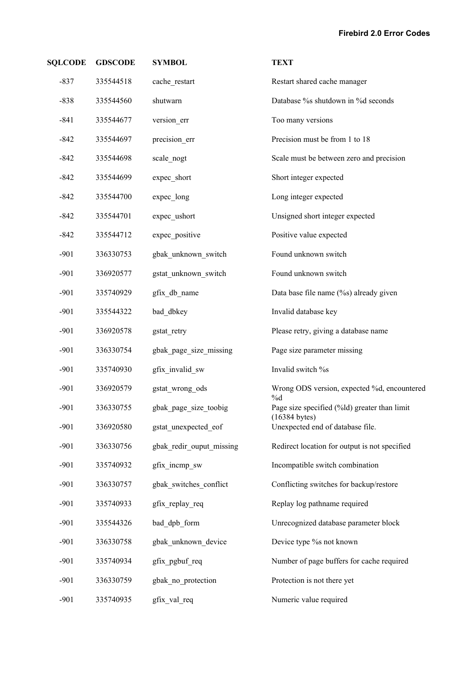| <b>SQLCODE</b> | <b>GDSCODE</b> | <b>SYMBOL</b>            | <b>TEXT</b>                                                 |
|----------------|----------------|--------------------------|-------------------------------------------------------------|
| $-837$         | 335544518      | cache restart            | Restart shared cache manager                                |
| $-838$         | 335544560      | shutwarn                 | Database %s shutdown in %d seconds                          |
| $-841$         | 335544677      | version_err              | Too many versions                                           |
| $-842$         | 335544697      | precision_err            | Precision must be from 1 to 18                              |
| $-842$         | 335544698      | scale_nogt               | Scale must be between zero and precision                    |
| $-842$         | 335544699      | expec short              | Short integer expected                                      |
| $-842$         | 335544700      | expec long               | Long integer expected                                       |
| $-842$         | 335544701      | expec ushort             | Unsigned short integer expected                             |
| $-842$         | 335544712      | expec positive           | Positive value expected                                     |
| $-901$         | 336330753      | gbak_unknown_switch      | Found unknown switch                                        |
| $-901$         | 336920577      | gstat_unknown_switch     | Found unknown switch                                        |
| $-901$         | 335740929      | gfix db name             | Data base file name (%s) already given                      |
| $-901$         | 335544322      | bad dbkey                | Invalid database key                                        |
| $-901$         | 336920578      | gstat_retry              | Please retry, giving a database name                        |
| $-901$         | 336330754      | gbak_page_size_missing   | Page size parameter missing                                 |
| $-901$         | 335740930      | gfix invalid sw          | Invalid switch %s                                           |
| $-901$         | 336920579      | gstat wrong ods          | Wrong ODS version, expected %d, encountered                 |
| $-901$         | 336330755      | gbak_page_size_toobig    | $\%d$<br>Page size specified (%ld) greater than limit       |
| $-901$         | 336920580      | gstat unexpected eof     | $(16384 \text{ bytes})$<br>Unexpected end of database file. |
| $-901$         | 336330756      | gbak redir ouput missing | Redirect location for output is not specified               |
| $-901$         | 335740932      | gfix incmp sw            | Incompatible switch combination                             |
| $-901$         | 336330757      | gbak switches conflict   | Conflicting switches for backup/restore                     |
| $-901$         | 335740933      | gfix replay req          | Replay log pathname required                                |
| $-901$         | 335544326      | bad dpb form             | Unrecognized database parameter block                       |
| $-901$         | 336330758      | gbak_unknown_device      | Device type % not known                                     |
| $-901$         | 335740934      | gfix_pgbuf_req           | Number of page buffers for cache required                   |
| $-901$         | 336330759      | gbak_no_protection       | Protection is not there yet                                 |
| $-901$         | 335740935      | gfix_val_req             | Numeric value required                                      |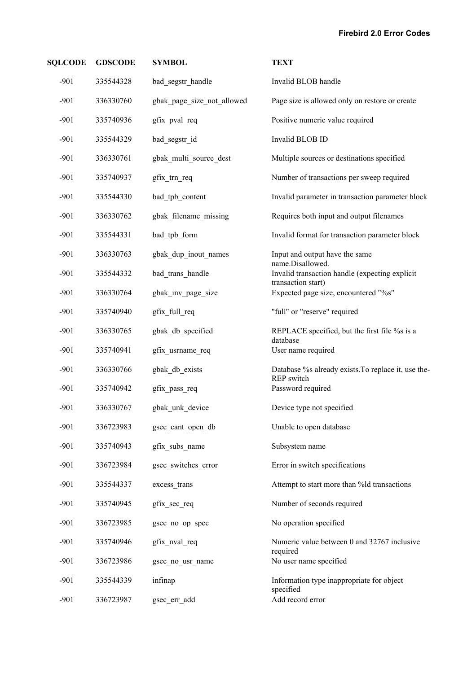| <b>SQLCODE</b> | <b>GDSCODE</b> | <b>SYMBOL</b>              | <b>TEXT</b>                                                      |
|----------------|----------------|----------------------------|------------------------------------------------------------------|
| $-901$         | 335544328      | bad segstr handle          | Invalid BLOB handle                                              |
| $-901$         | 336330760      | gbak_page_size_not_allowed | Page size is allowed only on restore or create                   |
| $-901$         | 335740936      | gfix_pval_req              | Positive numeric value required                                  |
| $-901$         | 335544329      | bad_segstr_id              | Invalid BLOB ID                                                  |
| $-901$         | 336330761      | gbak multi source dest     | Multiple sources or destinations specified                       |
| $-901$         | 335740937      | gfix_trn_req               | Number of transactions per sweep required                        |
| $-901$         | 335544330      | bad_tpb_content            | Invalid parameter in transaction parameter block                 |
| $-901$         | 336330762      | gbak filename missing      | Requires both input and output filenames                         |
| $-901$         | 335544331      | bad_tpb_form               | Invalid format for transaction parameter block                   |
| $-901$         | 336330763      | gbak dup inout names       | Input and output have the same<br>name.Disallowed.               |
| $-901$         | 335544332      | bad trans handle           | Invalid transaction handle (expecting explicit                   |
| $-901$         | 336330764      | gbak_inv_page_size         | transaction start)<br>Expected page size, encountered "%s"       |
| $-901$         | 335740940      | gfix full req              | "full" or "reserve" required                                     |
| $-901$         | 336330765      | gbak_db_specified          | REPLACE specified, but the first file % is a<br>database         |
| $-901$         | 335740941      | gfix_usrname_req           | User name required                                               |
| $-901$         | 336330766      | gbak_db_exists             | Database % already exists. To replace it, use the-<br>REP switch |
| $-901$         | 335740942      | gfix_pass_req              | Password required                                                |
| $-901$         | 336330767      | gbak unk device            | Device type not specified                                        |
| $-901$         | 336723983      | gsec cant open db          | Unable to open database                                          |
| $-901$         | 335740943      | gfix_subs_name             | Subsystem name                                                   |
| $-901$         | 336723984      | gsec_switches_error        | Error in switch specifications                                   |
| $-901$         | 335544337      | excess_trans               | Attempt to start more than %ld transactions                      |
| $-901$         | 335740945      | gfix_sec_req               | Number of seconds required                                       |
| $-901$         | 336723985      | gsec_no_op_spec            | No operation specified                                           |
| $-901$         | 335740946      | gfix_nval_req              | Numeric value between 0 and 32767 inclusive                      |
| $-901$         | 336723986      | gsec_no_usr_name           | required<br>No user name specified                               |
| $-901$         | 335544339      | infinap                    | Information type inappropriate for object                        |
| $-901$         | 336723987      | gsec_err_add               | specified<br>Add record error                                    |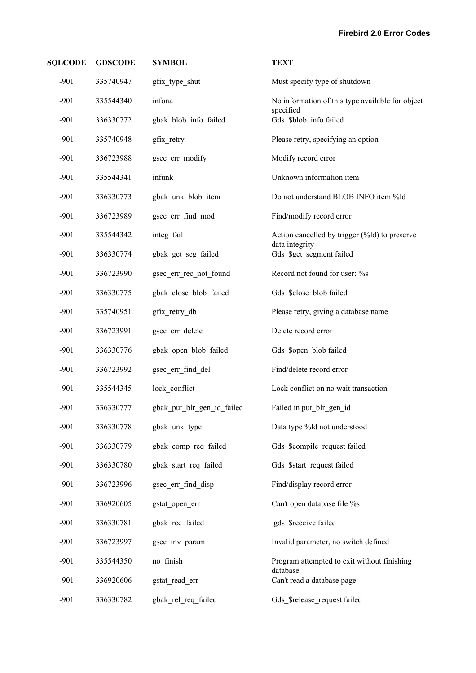| <b>SQLCODE</b> | <b>GDSCODE</b> | <b>SYMBOL</b>              | <b>TEXT</b>                                                     |
|----------------|----------------|----------------------------|-----------------------------------------------------------------|
| $-901$         | 335740947      | gfix type shut             | Must specify type of shutdown                                   |
| $-901$         | 335544340      | infona                     | No information of this type available for object<br>specified   |
| $-901$         | 336330772      | gbak blob info failed      | Gds_\$blob_info failed                                          |
| $-901$         | 335740948      | gfix_retry                 | Please retry, specifying an option                              |
| $-901$         | 336723988      | gsec_err_modify            | Modify record error                                             |
| $-901$         | 335544341      | infunk                     | Unknown information item                                        |
| $-901$         | 336330773      | gbak_unk_blob_item         | Do not understand BLOB INFO item %ld                            |
| $-901$         | 336723989      | gsec_err_find_mod          | Find/modify record error                                        |
| $-901$         | 335544342      | integ fail                 | Action cancelled by trigger (%ld) to preserve<br>data integrity |
| $-901$         | 336330774      | gbak get seg failed        | Gds_\$get_segment failed                                        |
| $-901$         | 336723990      | gsec_err_rec_not_found     | Record not found for user: %s                                   |
| $-901$         | 336330775      | gbak_close_blob_failed     | Gds_\$close_blob failed                                         |
| $-901$         | 335740951      | gfix_retry_db              | Please retry, giving a database name                            |
| $-901$         | 336723991      | gsec_err_delete            | Delete record error                                             |
| $-901$         | 336330776      | gbak_open_blob_failed      | Gds \$open blob failed                                          |
| $-901$         | 336723992      | gsec_err_find_del          | Find/delete record error                                        |
| $-901$         | 335544345      | lock conflict              | Lock conflict on no wait transaction                            |
| $-901$         | 336330777      | gbak_put_blr_gen_id_failed | Failed in put_blr_gen_id                                        |
| $-901$         | 336330778      | gbak unk type              | Data type %ld not understood                                    |
| $-901$         | 336330779      | gbak comp req failed       | Gds \$compile request failed                                    |
| $-901$         | 336330780      | gbak_start_req_failed      | Gds \$start request failed                                      |
| $-901$         | 336723996      | gsec err find disp         | Find/display record error                                       |
| $-901$         | 336920605      | gstat open err             | Can't open database file %s                                     |
| $-901$         | 336330781      | gbak rec failed            | gds \$receive failed                                            |
| $-901$         | 336723997      | gsec inv param             | Invalid parameter, no switch defined                            |
| $-901$         | 335544350      | no_finish                  | Program attempted to exit without finishing<br>database         |
| $-901$         | 336920606      | gstat read err             | Can't read a database page                                      |
| $-901$         | 336330782      | gbak rel req failed        | Gds \$release request failed                                    |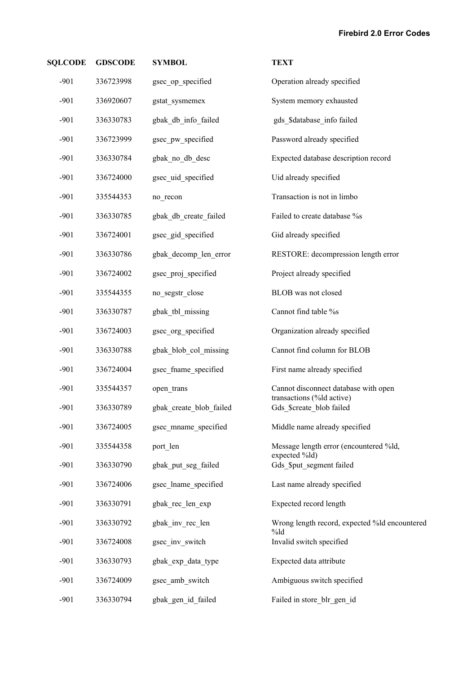| <b>SQLCODE</b> | <b>GDSCODE</b> | <b>SYMBOL</b>           | <b>TEXT</b>                                              |
|----------------|----------------|-------------------------|----------------------------------------------------------|
| $-901$         | 336723998      | gsec op specified       | Operation already specified                              |
| $-901$         | 336920607      | gstat sysmemex          | System memory exhausted                                  |
| $-901$         | 336330783      | gbak_db_info_failed     | gds_\$database_info failed                               |
| $-901$         | 336723999      | gsec pw specified       | Password already specified                               |
| $-901$         | 336330784      | gbak_no_db_desc         | Expected database description record                     |
| $-901$         | 336724000      | gsec_uid_specified      | Uid already specified                                    |
| $-901$         | 335544353      | no_recon                | Transaction is not in limbo                              |
| $-901$         | 336330785      | gbak db create failed   | Failed to create database %s                             |
| $-901$         | 336724001      | gsec_gid_specified      | Gid already specified                                    |
| $-901$         | 336330786      | gbak decomp len error   | RESTORE: decompression length error                      |
| $-901$         | 336724002      | gsec proj specified     | Project already specified                                |
| $-901$         | 335544355      | no_segstr_close         | BLOB was not closed                                      |
| $-901$         | 336330787      | gbak tbl missing        | Cannot find table %s                                     |
| $-901$         | 336724003      | gsec_org_specified      | Organization already specified                           |
| $-901$         | 336330788      | gbak_blob_col_missing   | Cannot find column for BLOB                              |
| $-901$         | 336724004      | gsec fname specified    | First name already specified                             |
| $-901$         | 335544357      | open_trans              | Cannot disconnect database with open                     |
| $-901$         | 336330789      | gbak create blob failed | transactions (%ld active)<br>Gds \$create blob failed    |
| $-901$         | 336724005      | gsec mname specified    | Middle name already specified                            |
| $-901$         | 335544358      | port_len                | Message length error (encountered %ld,<br>expected %ld)  |
| $-901$         | 336330790      | gbak put seg failed     | Gds \$put segment failed                                 |
| $-901$         | 336724006      | gsec lname specified    | Last name already specified                              |
| $-901$         | 336330791      | gbak_rec_len_exp        | Expected record length                                   |
| $-901$         | 336330792      | gbak inv rec len        | Wrong length record, expected %ld encountered<br>$\%$ ld |
| $-901$         | 336724008      | gsec_inv_switch         | Invalid switch specified                                 |
| $-901$         | 336330793      | gbak_exp_data_type      | Expected data attribute                                  |
| $-901$         | 336724009      | gsec amb switch         | Ambiguous switch specified                               |
| $-901$         | 336330794      | gbak_gen_id_failed      | Failed in store blr gen id                               |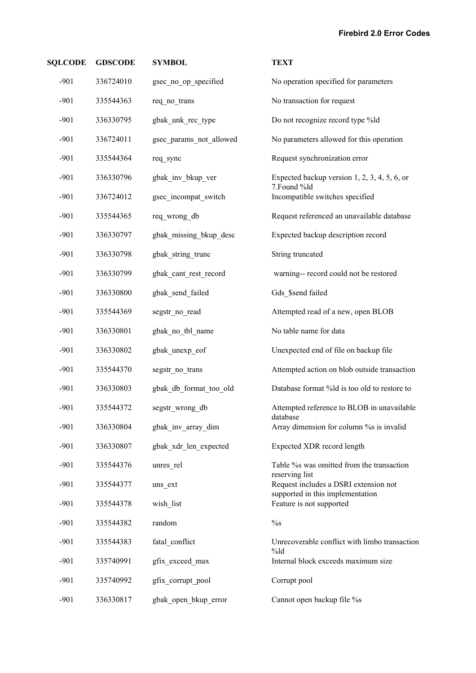| <b>SQLCODE</b> | <b>GDSCODE</b> | <b>SYMBOL</b>           | <b>TEXT</b>                                                  |
|----------------|----------------|-------------------------|--------------------------------------------------------------|
| $-901$         | 336724010      | gsec_no_op_specified    | No operation specified for parameters                        |
| $-901$         | 335544363      | req_no_trans            | No transaction for request                                   |
| $-901$         | 336330795      | gbak unk rec type       | Do not recognize record type %ld                             |
| $-901$         | 336724011      | gsec params not allowed | No parameters allowed for this operation                     |
| $-901$         | 335544364      | req_sync                | Request synchronization error                                |
| $-901$         | 336330796      | gbak_inv_bkup_ver       | Expected backup version $1, 2, 3, 4, 5, 6$ , or              |
| $-901$         | 336724012      | gsec incompat switch    | 7.Found %ld<br>Incompatible switches specified               |
| $-901$         | 335544365      | req wrong db            | Request referenced an unavailable database                   |
| $-901$         | 336330797      | gbak_missing_bkup_desc  | Expected backup description record                           |
| $-901$         | 336330798      | gbak string trunc       | String truncated                                             |
| $-901$         | 336330799      | gbak cant rest record   | warning-- record could not be restored                       |
| $-901$         | 336330800      | gbak send failed        | Gds \$send failed                                            |
| $-901$         | 335544369      | segstr no read          | Attempted read of a new, open BLOB                           |
| $-901$         | 336330801      | gbak no tbl name        | No table name for data                                       |
| $-901$         | 336330802      | gbak unexp eof          | Unexpected end of file on backup file                        |
| $-901$         | 335544370      | segstr_no_trans         | Attempted action on blob outside transaction                 |
| $-901$         | 336330803      | gbak_db_format_too_old  | Database format %ld is too old to restore to                 |
| $-901$         | 335544372      | segstr wrong db         | Attempted reference to BLOB in unavailable                   |
| $-901$         | 336330804      | gbak inv array dim      | database<br>Array dimension for column % is invalid          |
| $-901$         | 336330807      | gbak xdr len expected   | Expected XDR record length                                   |
| $-901$         | 335544376      | unres rel               | Table % was omitted from the transaction                     |
| $-901$         | 335544377      | uns ext                 | reserving list<br>Request includes a DSRI extension not      |
| $-901$         | 335544378      | wish list               | supported in this implementation<br>Feature is not supported |
| $-901$         | 335544382      | random                  | $\%$ s                                                       |
| $-901$         | 335544383      | fatal_conflict          | Unrecoverable conflict with limbo transaction                |
| $-901$         | 335740991      | gfix exceed max         | $%$ ld<br>Internal block exceeds maximum size                |
| $-901$         | 335740992      | gfix corrupt pool       | Corrupt pool                                                 |
| $-901$         | 336330817      | gbak_open_bkup_error    | Cannot open backup file %s                                   |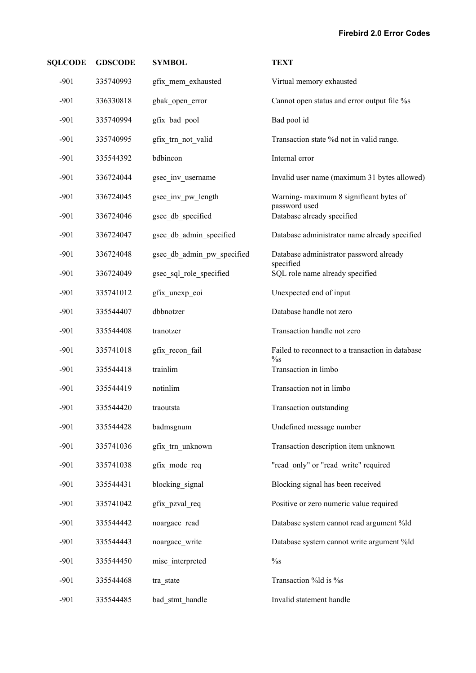| <b>SQLCODE</b> | <b>GDSCODE</b> | <b>SYMBOL</b>              | <b>TEXT</b>                                                |
|----------------|----------------|----------------------------|------------------------------------------------------------|
| $-901$         | 335740993      | gfix mem exhausted         | Virtual memory exhausted                                   |
| $-901$         | 336330818      | gbak_open_error            | Cannot open status and error output file %s                |
| $-901$         | 335740994      | gfix bad pool              | Bad pool id                                                |
| $-901$         | 335740995      | gfix trn not valid         | Transaction state %d not in valid range.                   |
| $-901$         | 335544392      | bdbincon                   | Internal error                                             |
| $-901$         | 336724044      | gsec_inv_username          | Invalid user name (maximum 31 bytes allowed)               |
| $-901$         | 336724045      | gsec_inv_pw_length         | Warning-maximum 8 significant bytes of                     |
| $-901$         | 336724046      | gsec_db_specified          | password used<br>Database already specified                |
| $-901$         | 336724047      | gsec_db_admin_specified    | Database administrator name already specified              |
| $-901$         | 336724048      | gsec db admin pw specified | Database administrator password already                    |
| $-901$         | 336724049      | gsec_sql_role_specified    | specified<br>SQL role name already specified               |
| $-901$         | 335741012      | gfix unexp eoi             | Unexpected end of input                                    |
| $-901$         | 335544407      | dbbnotzer                  | Database handle not zero                                   |
| $-901$         | 335544408      | tranotzer                  | Transaction handle not zero                                |
| $-901$         | 335741018      | gfix recon fail            | Failed to reconnect to a transaction in database<br>$\%$ s |
| $-901$         | 335544418      | trainlim                   | Transaction in limbo                                       |
| $-901$         | 335544419      | notinlim                   | Transaction not in limbo                                   |
| $-901$         | 335544420      | traoutsta                  | Transaction outstanding                                    |
| $-901$         | 335544428      | badmsgnum                  | Undefined message number                                   |
| $-901$         | 335741036      | gfix_trn_unknown           | Transaction description item unknown                       |
| $-901$         | 335741038      | gfix_mode_req              | "read only" or "read write" required                       |
| $-901$         | 335544431      | blocking signal            | Blocking signal has been received                          |
| $-901$         | 335741042      | gfix_pzval_req             | Positive or zero numeric value required                    |
| $-901$         | 335544442      | noargacc read              | Database system cannot read argument %ld                   |
| $-901$         | 335544443      | noargacc write             | Database system cannot write argument %ld                  |
| $-901$         | 335544450      | misc interpreted           | $\%$ s                                                     |
| $-901$         | 335544468      | tra_state                  | Transaction %ld is %s                                      |
| $-901$         | 335544485      | bad stmt handle            | Invalid statement handle                                   |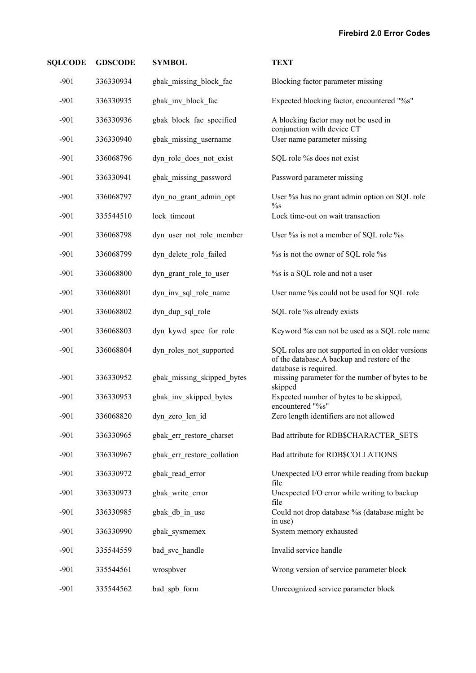| <b>SQLCODE</b> | <b>GDSCODE</b> | <b>SYMBOL</b>              | <b>TEXT</b>                                                                                     |
|----------------|----------------|----------------------------|-------------------------------------------------------------------------------------------------|
| $-901$         | 336330934      | gbak_missing_block_fac     | Blocking factor parameter missing                                                               |
| $-901$         | 336330935      | gbak inv block fac         | Expected blocking factor, encountered "%s"                                                      |
| $-901$         | 336330936      | gbak_block_fac_specified   | A blocking factor may not be used in                                                            |
| $-901$         | 336330940      | gbak missing username      | conjunction with device CT<br>User name parameter missing                                       |
| $-901$         | 336068796      | dyn_role_does_not_exist    | SQL role % does not exist                                                                       |
| $-901$         | 336330941      | gbak_missing_password      | Password parameter missing                                                                      |
| $-901$         | 336068797      | dyn no grant admin opt     | User % has no grant admin option on SQL role                                                    |
| $-901$         | 335544510      | lock timeout               | $\%$ s<br>Lock time-out on wait transaction                                                     |
| $-901$         | 336068798      | dyn user not role member   | User % is not a member of SQL role % s                                                          |
| $-901$         | 336068799      | dyn delete role failed     | % % is not the owner of SQL role %                                                              |
| $-901$         | 336068800      | dyn grant role to user     | % is a SQL role and not a user                                                                  |
| $-901$         | 336068801      | dyn_inv_sql_role_name      | User name %s could not be used for SQL role                                                     |
| $-901$         | 336068802      | dyn_dup_sql_role           | SQL role %s already exists                                                                      |
| $-901$         | 336068803      | dyn_kywd_spec_for_role     | Keyword % can not be used as a SQL role name                                                    |
| $-901$         | 336068804      | dyn roles not supported    | SQL roles are not supported in on older versions<br>of the database.A backup and restore of the |
| $-901$         | 336330952      | gbak_missing_skipped_bytes | database is required.<br>missing parameter for the number of bytes to be<br>skipped             |
| $-901$         | 336330953      | gbak inv skipped bytes     | Expected number of bytes to be skipped,<br>encountered "%s"                                     |
| $-901$         | 336068820      | dyn_zero_len_id            | Zero length identifiers are not allowed                                                         |
| $-901$         | 336330965      | gbak err restore charset   | Bad attribute for RDB\$CHARACTER_SETS                                                           |
| $-901$         | 336330967      | gbak err restore collation | Bad attribute for RDB\$COLLATIONS                                                               |
| $-901$         | 336330972      | gbak read error            | Unexpected I/O error while reading from backup<br>file                                          |
| $-901$         | 336330973      | gbak_write_error           | Unexpected I/O error while writing to backup<br>file                                            |
| $-901$         | 336330985      | gbak db in use             | Could not drop database % (database might be<br>in use)                                         |
| $-901$         | 336330990      | gbak sysmemex              | System memory exhausted                                                                         |
| $-901$         | 335544559      | bad svc handle             | Invalid service handle                                                                          |
| $-901$         | 335544561      | wrospbver                  | Wrong version of service parameter block                                                        |
| $-901$         | 335544562      | bad spb form               | Unrecognized service parameter block                                                            |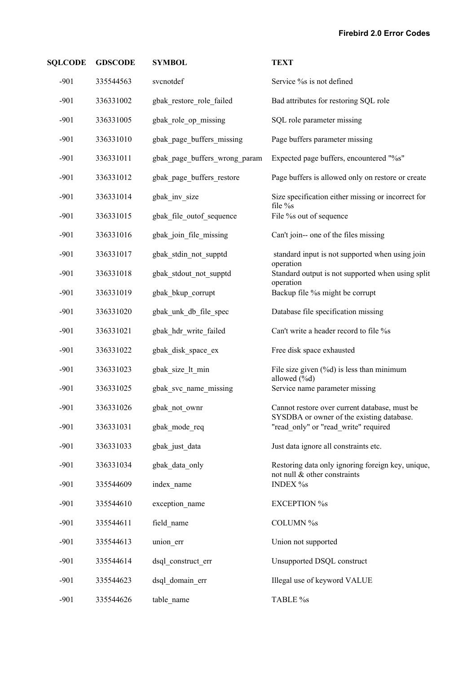| <b>SQLCODE</b> | <b>GDSCODE</b> | <b>SYMBOL</b>                 | <b>TEXT</b>                                                                       |
|----------------|----------------|-------------------------------|-----------------------------------------------------------------------------------|
| $-901$         | 335544563      | svcnotdef                     | Service % is not defined                                                          |
| $-901$         | 336331002      | gbak_restore_role_failed      | Bad attributes for restoring SQL role                                             |
| $-901$         | 336331005      | gbak_role_op_missing          | SQL role parameter missing                                                        |
| $-901$         | 336331010      | gbak_page_buffers_missing     | Page buffers parameter missing                                                    |
| $-901$         | 336331011      | gbak_page_buffers_wrong_param | Expected page buffers, encountered "%s"                                           |
| $-901$         | 336331012      | gbak_page_buffers_restore     | Page buffers is allowed only on restore or create                                 |
| $-901$         | 336331014      | gbak_inv_size                 | Size specification either missing or incorrect for                                |
| $-901$         | 336331015      | gbak_file_outof_sequence      | file %s<br>File % out of sequence                                                 |
| $-901$         | 336331016      | gbak_join_file_missing        | Can't join-- one of the files missing                                             |
| $-901$         | 336331017      | gbak_stdin_not_supptd         | standard input is not supported when using join                                   |
| $-901$         | 336331018      | gbak stdout not supptd        | operation<br>Standard output is not supported when using split                    |
| $-901$         | 336331019      | gbak_bkup_corrupt             | operation<br>Backup file % might be corrupt                                       |
| $-901$         | 336331020      | gbak_unk_db_file_spec         | Database file specification missing                                               |
| $-901$         | 336331021      | gbak_hdr_write_failed         | Can't write a header record to file %s                                            |
| $-901$         | 336331022      | gbak_disk_space_ex            | Free disk space exhausted                                                         |
| $-901$         | 336331023      | gbak_size_lt_min              | File size given $(\%d)$ is less than minimum                                      |
| $-901$         | 336331025      | gbak svc name missing         | allowed (%d)<br>Service name parameter missing                                    |
| $-901$         | 336331026      | gbak not ownr                 | Cannot restore over current database, must be                                     |
| $-901$         | 336331031      | gbak mode req                 | SYSDBA or owner of the existing database.<br>"read only" or "read write" required |
| $-901$         | 336331033      | gbak just data                | Just data ignore all constraints etc.                                             |
| $-901$         | 336331034      | gbak data only                | Restoring data only ignoring foreign key, unique,<br>not null & other constraints |
| $-901$         | 335544609      | index name                    | <b>INDEX %s</b>                                                                   |
| $-901$         | 335544610      | exception name                | <b>EXCEPTION %s</b>                                                               |
| $-901$         | 335544611      | field name                    | COLUMN %s                                                                         |
| $-901$         | 335544613      | union_err                     | Union not supported                                                               |
| $-901$         | 335544614      | dsql construct err            | Unsupported DSQL construct                                                        |
| $-901$         | 335544623      | dsql domain err               | Illegal use of keyword VALUE                                                      |
| $-901$         | 335544626      | table_name                    | TABLE %s                                                                          |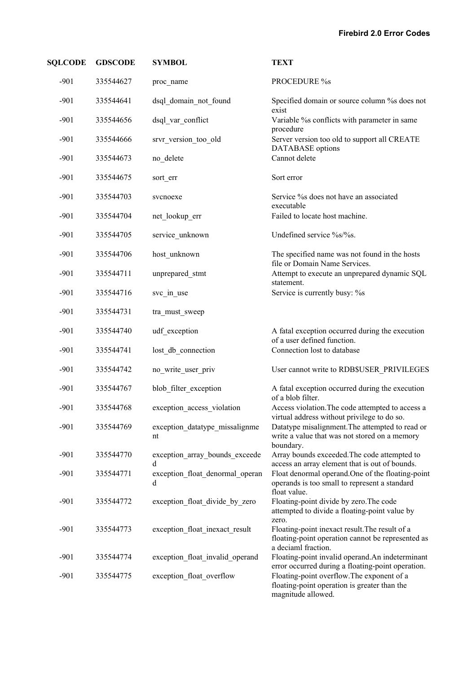| <b>SQLCODE</b> | <b>GDSCODE</b> | <b>SYMBOL</b>                        | <b>TEXT</b>                                                                                                                |
|----------------|----------------|--------------------------------------|----------------------------------------------------------------------------------------------------------------------------|
| $-901$         | 335544627      | proc_name                            | PROCEDURE %s                                                                                                               |
| $-901$         | 335544641      | dsql domain not found                | Specified domain or source column % does not<br>exist                                                                      |
| $-901$         | 335544656      | dsql_var_conflict                    | Variable % conflicts with parameter in same<br>procedure                                                                   |
| $-901$         | 335544666      | srvr_version_too_old                 | Server version too old to support all CREATE<br><b>DATABASE</b> options                                                    |
| $-901$         | 335544673      | no delete                            | Cannot delete                                                                                                              |
| $-901$         | 335544675      | sort_err                             | Sort error                                                                                                                 |
| $-901$         | 335544703      | svcnoexe                             | Service % does not have an associated<br>executable                                                                        |
| $-901$         | 335544704      | net lookup err                       | Failed to locate host machine.                                                                                             |
| $-901$         | 335544705      | service unknown                      | Undefined service %s/%s.                                                                                                   |
| $-901$         | 335544706      | host unknown                         | The specified name was not found in the hosts<br>file or Domain Name Services.                                             |
| $-901$         | 335544711      | unprepared stmt                      | Attempt to execute an unprepared dynamic SQL<br>statement.                                                                 |
| $-901$         | 335544716      | svc_in_use                           | Service is currently busy: %s                                                                                              |
| $-901$         | 335544731      | tra must sweep                       |                                                                                                                            |
| $-901$         | 335544740      | udf exception                        | A fatal exception occurred during the execution<br>of a user defined function.                                             |
| $-901$         | 335544741      | lost_db_connection                   | Connection lost to database                                                                                                |
| $-901$         | 335544742      | no write user priv                   | User cannot write to RDB\$USER_PRIVILEGES                                                                                  |
| $-901$         | 335544767      | blob filter exception                | A fatal exception occurred during the execution<br>of a blob filter.                                                       |
| $-901$         | 335544768      | exception access violation           | Access violation. The code attempted to access a<br>virtual address without privilege to do so.                            |
| $-901$         | 335544769      | exception datatype missalignme<br>nt | Datatype misalignment. The attempted to read or<br>write a value that was not stored on a memory<br>boundary.              |
| $-901$         | 335544770      | exception array bounds exceede<br>d  | Array bounds exceeded. The code attempted to<br>access an array element that is out of bounds.                             |
| $-901$         | 335544771      | exception float denormal operan<br>d | Float denormal operand. One of the floating-point<br>operands is too small to represent a standard<br>float value.         |
| $-901$         | 335544772      | exception_float_divide_by_zero       | Floating-point divide by zero. The code<br>attempted to divide a floating-point value by<br>zero.                          |
| $-901$         | 335544773      | exception_float_inexact_result       | Floating-point inexact result. The result of a<br>floating-point operation cannot be represented as<br>a deciaml fraction. |
| $-901$         | 335544774      | exception_float_invalid_operand      | Floating-point invalid operand.An indeterminant<br>error occurred during a floating-point operation.                       |
| $-901$         | 335544775      | exception float overflow             | Floating-point overflow. The exponent of a<br>floating-point operation is greater than the<br>magnitude allowed.           |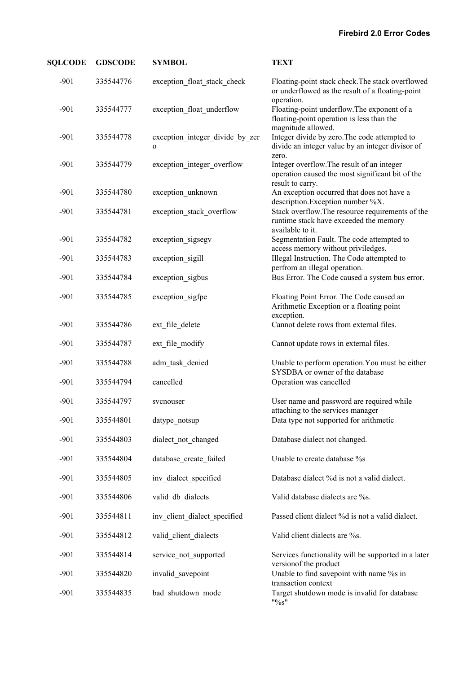| <b>SQLCODE</b> | <b>GDSCODE</b> | <b>SYMBOL</b>                                   | <b>TEXT</b>                                                                                                        |
|----------------|----------------|-------------------------------------------------|--------------------------------------------------------------------------------------------------------------------|
| $-901$         | 335544776      | exception_float_stack_check                     | Floating-point stack check. The stack overflowed<br>or underflowed as the result of a floating-point<br>operation. |
| $-901$         | 335544777      | exception_float_underflow                       | Floating-point underflow. The exponent of a<br>floating-point operation is less than the<br>magnitude allowed.     |
| $-901$         | 335544778      | exception_integer_divide_by_zer<br>$\mathbf{o}$ | Integer divide by zero. The code attempted to<br>divide an integer value by an integer divisor of<br>zero.         |
| $-901$         | 335544779      | exception_integer_overflow                      | Integer overflow. The result of an integer<br>operation caused the most significant bit of the<br>result to carry. |
| $-901$         | 335544780      | exception_unknown                               | An exception occurred that does not have a<br>description. Exception number %X.                                    |
| $-901$         | 335544781      | exception stack overflow                        | Stack overflow. The resource requirements of the<br>runtime stack have exceeded the memory<br>available to it.     |
| $-901$         | 335544782      | exception_sigsegv                               | Segmentation Fault. The code attempted to<br>access memory without priviledges.                                    |
| $-901$         | 335544783      | exception sigill                                | Illegal Instruction. The Code attempted to<br>perfrom an illegal operation.                                        |
| $-901$         | 335544784      | exception_sigbus                                | Bus Error. The Code caused a system bus error.                                                                     |
| $-901$         | 335544785      | exception_sigfpe                                | Floating Point Error. The Code caused an<br>Arithmetic Exception or a floating point<br>exception.                 |
| $-901$         | 335544786      | ext_file_delete                                 | Cannot delete rows from external files.                                                                            |
| $-901$         | 335544787      | ext_file_modify                                 | Cannot update rows in external files.                                                                              |
| $-901$         | 335544788      | adm_task_denied                                 | Unable to perform operation. You must be either<br>SYSDBA or owner of the database                                 |
| $-901$         | 335544794      | cancelled                                       | Operation was cancelled                                                                                            |
| $-901$         | 335544797      | svcnouser                                       | User name and password are required while<br>attaching to the services manager                                     |
| $-901$         | 335544801      | datype notsup                                   | Data type not supported for arithmetic                                                                             |
| $-901$         | 335544803      | dialect not changed                             | Database dialect not changed.                                                                                      |
| $-901$         | 335544804      | database create failed                          | Unable to create database %s                                                                                       |
| $-901$         | 335544805      | inv dialect specified                           | Database dialect %d is not a valid dialect.                                                                        |
| $-901$         | 335544806      | valid db dialects                               | Valid database dialects are %s.                                                                                    |
| $-901$         | 335544811      | inv_client_dialect_specified                    | Passed client dialect %d is not a valid dialect.                                                                   |
| $-901$         | 335544812      | valid_client_dialects                           | Valid client dialects are %s.                                                                                      |
| $-901$         | 335544814      | service not supported                           | Services functionality will be supported in a later<br>version of the product                                      |
| $-901$         | 335544820      | invalid savepoint                               | Unable to find savepoint with name % in                                                                            |
| $-901$         | 335544835      | bad_shutdown_mode                               | transaction context<br>Target shutdown mode is invalid for database<br>"9/0S"                                      |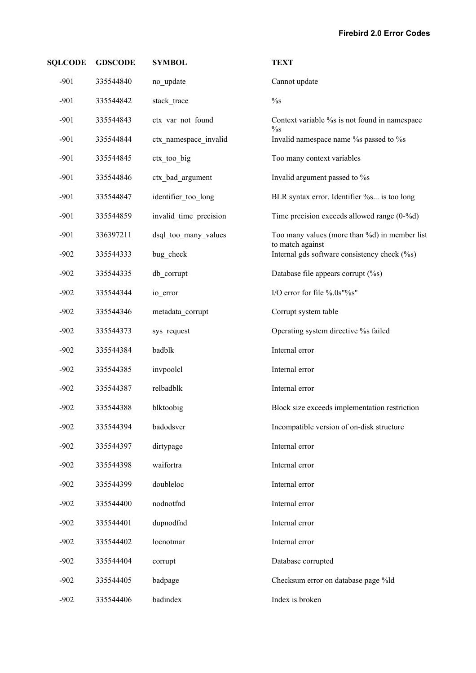| <b>SQLCODE</b> | <b>GDSCODE</b> | <b>SYMBOL</b>          | <b>TEXT</b>                                                       |
|----------------|----------------|------------------------|-------------------------------------------------------------------|
| $-901$         | 335544840      | no update              | Cannot update                                                     |
| $-901$         | 335544842      | stack_trace            | $\%$ s                                                            |
| $-901$         | 335544843      | ctx_var_not_found      | Context variable % is not found in namespace<br>$\%$ s            |
| $-901$         | 335544844      | ctx namespace invalid  | Invalid namespace name % passed to % s                            |
| $-901$         | 335544845      | ctx_too_big            | Too many context variables                                        |
| $-901$         | 335544846      | ctx bad argument       | Invalid argument passed to %s                                     |
| $-901$         | 335544847      | identifier_too_long    | BLR syntax error. Identifier %s is too long                       |
| $-901$         | 335544859      | invalid time precision | Time precision exceeds allowed range $(0-$ %d)                    |
| $-901$         | 336397211      | dsql too many values   | Too many values (more than %d) in member list<br>to match against |
| $-902$         | 335544333      | bug check              | Internal gds software consistency check (%s)                      |
| $-902$         | 335544335      | db corrupt             | Database file appears corrupt (%s)                                |
| $-902$         | 335544344      | io_error               | I/O error for file %.0s"%s"                                       |
| $-902$         | 335544346      | metadata_corrupt       | Corrupt system table                                              |
| $-902$         | 335544373      | sys request            | Operating system directive % failed                               |
| $-902$         | 335544384      | badblk                 | Internal error                                                    |
| $-902$         | 335544385      | invpoolcl              | Internal error                                                    |
| $-902$         | 335544387      | relbadblk              | Internal error                                                    |
| $-902$         | 335544388      | blktoobig              | Block size exceeds implementation restriction                     |
| $-902$         | 335544394      | badodsver              | Incompatible version of on-disk structure                         |
| $-902$         | 335544397      | dirtypage              | Internal error                                                    |
| $-902$         | 335544398      | waifortra              | Internal error                                                    |
| $-902$         | 335544399      | doubleloc              | Internal error                                                    |
| $-902$         | 335544400      | nodnotfnd              | Internal error                                                    |
| $-902$         | 335544401      | dupnodfnd              | Internal error                                                    |
| $-902$         | 335544402      | locnotmar              | Internal error                                                    |
| $-902$         | 335544404      | corrupt                | Database corrupted                                                |
| $-902$         | 335544405      | badpage                | Checksum error on database page %ld                               |
| $-902$         | 335544406      | badindex               | Index is broken                                                   |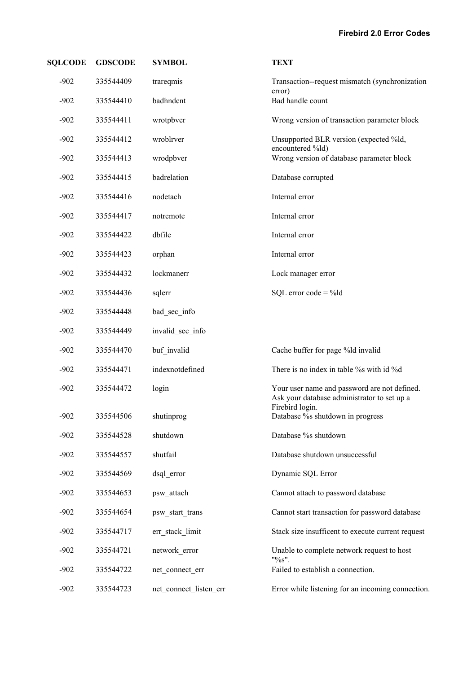| <b>SQLCODE</b> | <b>GDSCODE</b> | <b>SYMBOL</b>          | <b>TEXT</b>                                                                                                    |
|----------------|----------------|------------------------|----------------------------------------------------------------------------------------------------------------|
| $-902$         | 335544409      | trareqmis              | Transaction--request mismatch (synchronization<br>error)                                                       |
| $-902$         | 335544410      | badhndcnt              | Bad handle count                                                                                               |
| $-902$         | 335544411      | wrotpbver              | Wrong version of transaction parameter block                                                                   |
| $-902$         | 335544412      | wroblrver              | Unsupported BLR version (expected %ld,<br>encountered %ld)                                                     |
| $-902$         | 335544413      | wrodpbver              | Wrong version of database parameter block                                                                      |
| $-902$         | 335544415      | badrelation            | Database corrupted                                                                                             |
| $-902$         | 335544416      | nodetach               | Internal error                                                                                                 |
| $-902$         | 335544417      | notremote              | Internal error                                                                                                 |
| $-902$         | 335544422      | dbfile                 | Internal error                                                                                                 |
| $-902$         | 335544423      | orphan                 | Internal error                                                                                                 |
| $-902$         | 335544432      | lockmanerr             | Lock manager error                                                                                             |
| $-902$         | 335544436      | sqlerr                 | SQL error $code = %$ ld                                                                                        |
| $-902$         | 335544448      | bad sec info           |                                                                                                                |
| $-902$         | 335544449      | invalid sec info       |                                                                                                                |
| $-902$         | 335544470      | buf invalid            | Cache buffer for page %ld invalid                                                                              |
| $-902$         | 335544471      | indexnotdefined        | There is no index in table % with id %d                                                                        |
| $-902$         | 335544472      | login                  | Your user name and password are not defined.<br>Ask your database administrator to set up a<br>Firebird login. |
| $-902$         | 335544506      | shutinprog             | Database %s shutdown in progress                                                                               |
| $-902$         | 335544528      | shutdown               | Database % shutdown                                                                                            |
| $-902$         | 335544557      | shutfail               | Database shutdown unsuccessful                                                                                 |
| $-902$         | 335544569      | dsql_error             | Dynamic SQL Error                                                                                              |
| $-902$         | 335544653      | psw attach             | Cannot attach to password database                                                                             |
| $-902$         | 335544654      | psw start trans        | Cannot start transaction for password database                                                                 |
| $-902$         | 335544717      | err stack limit        | Stack size insufficent to execute current request                                                              |
| $-902$         | 335544721      | network error          | Unable to complete network request to host<br>"%s".                                                            |
| $-902$         | 335544722      | net connect err        | Failed to establish a connection.                                                                              |
| $-902$         | 335544723      | net connect listen err | Error while listening for an incoming connection.                                                              |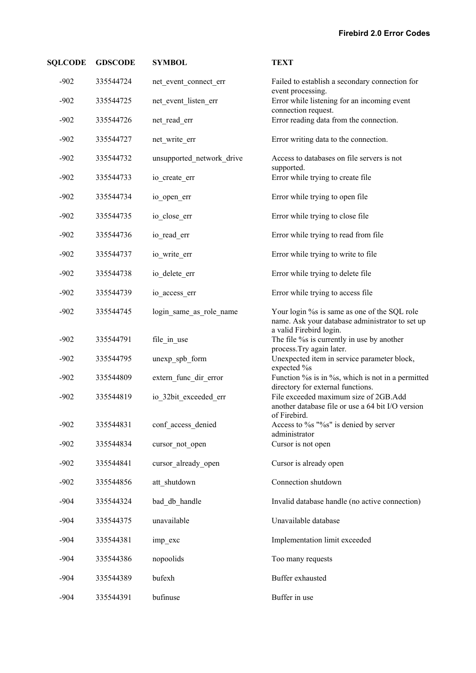| <b>SQLCODE</b> | <b>GDSCODE</b> | <b>SYMBOL</b>             | <b>TEXT</b>                                                                                       |
|----------------|----------------|---------------------------|---------------------------------------------------------------------------------------------------|
| $-902$         | 335544724      | net_event_connect_err     | Failed to establish a secondary connection for<br>event processing.                               |
| $-902$         | 335544725      | net_event_listen_err      | Error while listening for an incoming event<br>connection request.                                |
| $-902$         | 335544726      | net read err              | Error reading data from the connection.                                                           |
| $-902$         | 335544727      | net_write_err             | Error writing data to the connection.                                                             |
| $-902$         | 335544732      | unsupported network drive | Access to databases on file servers is not                                                        |
| $-902$         | 335544733      | io create err             | supported.<br>Error while trying to create file                                                   |
| $-902$         | 335544734      | io_open_err               | Error while trying to open file                                                                   |
| $-902$         | 335544735      | io close err              | Error while trying to close file                                                                  |
| $-902$         | 335544736      | io read err               | Error while trying to read from file                                                              |
| $-902$         | 335544737      | io_write_err              | Error while trying to write to file                                                               |
| $-902$         | 335544738      | io_delete_err             | Error while trying to delete file                                                                 |
| $-902$         | 335544739      | io_access_err             | Error while trying to access file                                                                 |
| $-902$         | 335544745      | login_same_as_role_name   | Your login % is same as one of the SQL role<br>name. Ask your database administrator to set up    |
| $-902$         | 335544791      | file_in_use               | a valid Firebird login.<br>The file % is currently in use by another<br>process. Try again later. |
| $-902$         | 335544795      | unexp_spb_form            | Unexpected item in service parameter block,<br>expected %s                                        |
| $-902$         | 335544809      | extern_func_dir_error     | Function % is in % s, which is not in a permitted<br>directory for external functions.            |
| $-902$         | 335544819      | io 32bit exceeded err     | File exceeded maximum size of 2GB.Add<br>another database file or use a 64 bit I/O version        |
| $-902$         | 335544831      | conf access denied        | of Firebird.<br>Access to %s "%s" is denied by server                                             |
| $-902$         | 335544834      | cursor not open           | administrator<br>Cursor is not open                                                               |
| $-902$         | 335544841      | cursor already open       | Cursor is already open                                                                            |
| $-902$         | 335544856      | att shutdown              | Connection shutdown                                                                               |
| $-904$         | 335544324      | bad db handle             | Invalid database handle (no active connection)                                                    |
| $-904$         | 335544375      | unavailable               | Unavailable database                                                                              |
| $-904$         | 335544381      | imp_exc                   | Implementation limit exceeded                                                                     |
| $-904$         | 335544386      | nopoolids                 | Too many requests                                                                                 |
| $-904$         | 335544389      | bufexh                    | Buffer exhausted                                                                                  |
| $-904$         | 335544391      | bufinuse                  | Buffer in use                                                                                     |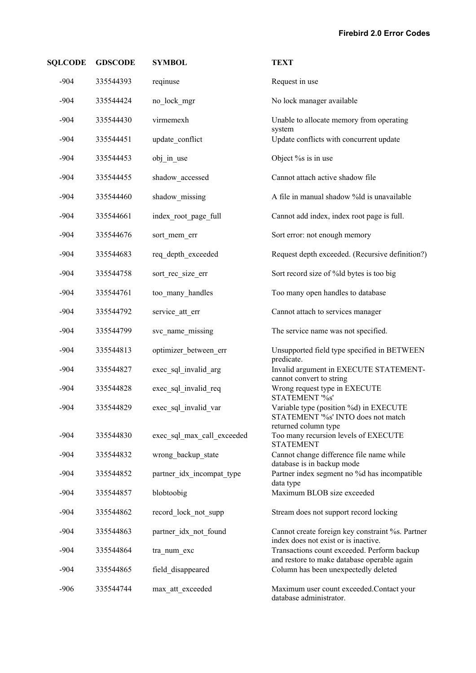| <b>SQLCODE</b> | <b>GDSCODE</b> | <b>SYMBOL</b>              | <b>TEXT</b>                                                                                          |
|----------------|----------------|----------------------------|------------------------------------------------------------------------------------------------------|
| $-904$         | 335544393      | reqinuse                   | Request in use                                                                                       |
| $-904$         | 335544424      | no lock mgr                | No lock manager available                                                                            |
| $-904$         | 335544430      | virmemexh                  | Unable to allocate memory from operating                                                             |
| $-904$         | 335544451      | update conflict            | system<br>Update conflicts with concurrent update                                                    |
| $-904$         | 335544453      | obj_in_use                 | Object % is in use                                                                                   |
| $-904$         | 335544455      | shadow_accessed            | Cannot attach active shadow file                                                                     |
| $-904$         | 335544460      | shadow missing             | A file in manual shadow %ld is unavailable                                                           |
| $-904$         | 335544661      | index root page full       | Cannot add index, index root page is full.                                                           |
| $-904$         | 335544676      | sort_mem_err               | Sort error: not enough memory                                                                        |
| $-904$         | 335544683      | req_depth_exceeded         | Request depth exceeded. (Recursive definition?)                                                      |
| $-904$         | 335544758      | sort_rec_size_err          | Sort record size of %ld bytes is too big                                                             |
| $-904$         | 335544761      | too many handles           | Too many open handles to database                                                                    |
| $-904$         | 335544792      | service att err            | Cannot attach to services manager                                                                    |
| $-904$         | 335544799      | svc name missing           | The service name was not specified.                                                                  |
| $-904$         | 335544813      | optimizer between err      | Unsupported field type specified in BETWEEN<br>predicate.                                            |
| $-904$         | 335544827      | exec_sql_invalid_arg       | Invalid argument in EXECUTE STATEMENT-<br>cannot convert to string                                   |
| $-904$         | 335544828      | exec_sql_invalid_req       | Wrong request type in EXECUTE<br>STATEMENT '%s'                                                      |
| $-904$         | 335544829      | exec_sql_invalid_var       | Variable type (position %d) in EXECUTE<br>STATEMENT '%s' INTO does not match<br>returned column type |
| $-904$         | 335544830      | exec sql max call exceeded | Too many recursion levels of EXECUTE<br><b>STATEMENT</b>                                             |
| $-904$         | 335544832      | wrong backup state         | Cannot change difference file name while<br>database is in backup mode                               |
| $-904$         | 335544852      | partner idx incompat type  | Partner index segment no %d has incompatible<br>data type                                            |
| $-904$         | 335544857      | blobtoobig                 | Maximum BLOB size exceeded                                                                           |
| $-904$         | 335544862      | record_lock_not_supp       | Stream does not support record locking                                                               |
| $-904$         | 335544863      | partner_idx_not_found      | Cannot create foreign key constraint %s. Partner<br>index does not exist or is inactive.             |
| $-904$         | 335544864      | tra_num_exc                | Transactions count exceeded. Perform backup<br>and restore to make database operable again           |
| $-904$         | 335544865      | field disappeared          | Column has been unexpectedly deleted                                                                 |
| $-906$         | 335544744      | max_att_exceeded           | Maximum user count exceeded.Contact your<br>database administrator.                                  |